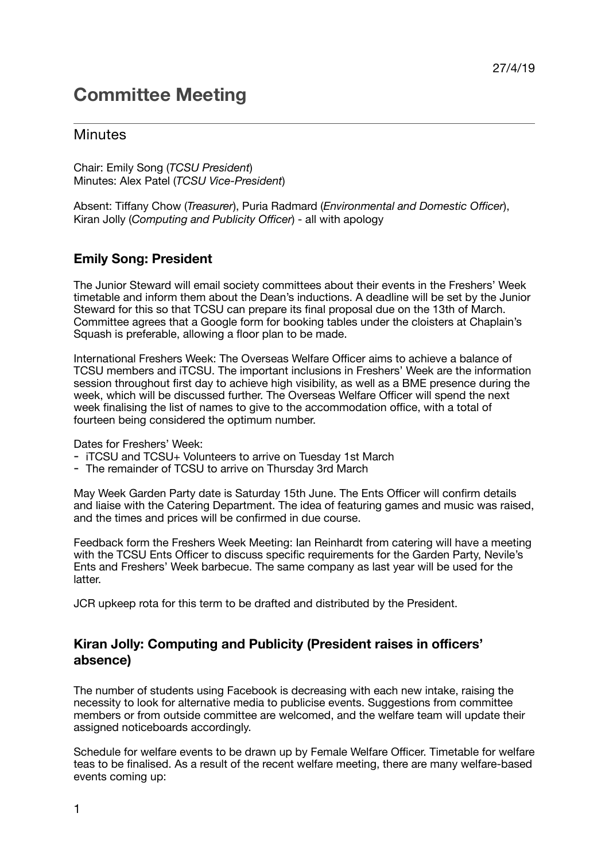## **Committee Meeting**

## **Minutes**

Chair: Emily Song (*TCSU President*) Minutes: Alex Patel (*TCSU Vice-President*)

Absent: Tiffany Chow (*Treasurer*), Puria Radmard (*Environmental and Domestic Officer*), Kiran Jolly (*Computing and Publicity Officer*) - all with apology

## **Emily Song: President**

The Junior Steward will email society committees about their events in the Freshers' Week timetable and inform them about the Dean's inductions. A deadline will be set by the Junior Steward for this so that TCSU can prepare its final proposal due on the 13th of March. Committee agrees that a Google form for booking tables under the cloisters at Chaplain's Squash is preferable, allowing a floor plan to be made.

International Freshers Week: The Overseas Welfare Officer aims to achieve a balance of TCSU members and iTCSU. The important inclusions in Freshers' Week are the information session throughout first day to achieve high visibility, as well as a BME presence during the week, which will be discussed further. The Overseas Welfare Officer will spend the next week finalising the list of names to give to the accommodation office, with a total of fourteen being considered the optimum number.

Dates for Freshers' Week:

- iTCSU and TCSU+ Volunteers to arrive on Tuesday 1st March
- The remainder of TCSU to arrive on Thursday 3rd March

May Week Garden Party date is Saturday 15th June. The Ents Officer will confirm details and liaise with the Catering Department. The idea of featuring games and music was raised, and the times and prices will be confirmed in due course.

Feedback form the Freshers Week Meeting: Ian Reinhardt from catering will have a meeting with the TCSU Ents Officer to discuss specific requirements for the Garden Party, Nevile's Ents and Freshers' Week barbecue. The same company as last year will be used for the latter.

JCR upkeep rota for this term to be drafted and distributed by the President.

## **Kiran Jolly: Computing and Publicity (President raises in officers' absence)**

The number of students using Facebook is decreasing with each new intake, raising the necessity to look for alternative media to publicise events. Suggestions from committee members or from outside committee are welcomed, and the welfare team will update their assigned noticeboards accordingly.

Schedule for welfare events to be drawn up by Female Welfare Officer. Timetable for welfare teas to be finalised. As a result of the recent welfare meeting, there are many welfare-based events coming up: